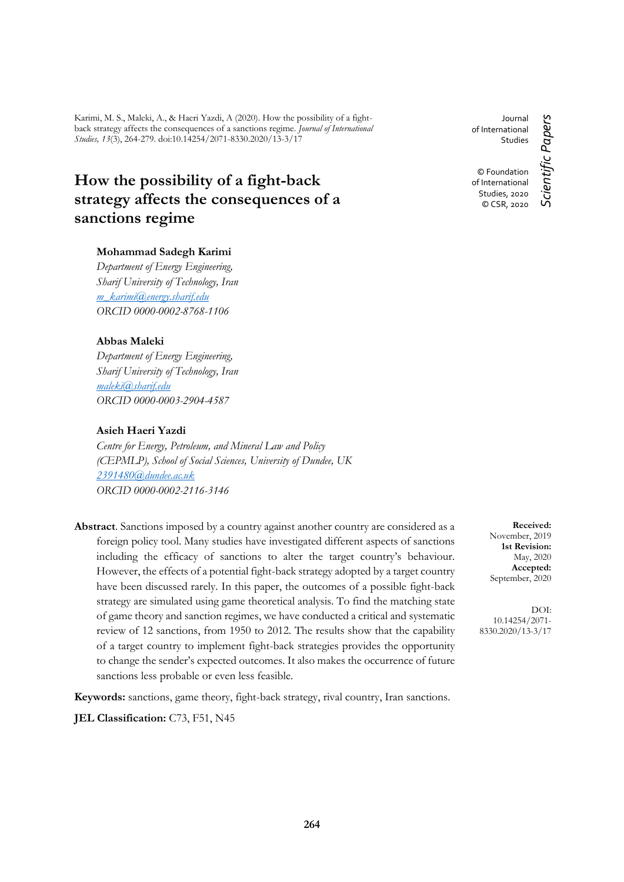Karimi, M. S., Maleki, A., & Haeri Yazdi, A (2020). How the possibility of a fightback strategy affects the consequences of a sanctions regime. *Journal of International Studies, 13*(3), 264-279. doi:10.14254/2071-8330.2020/13-3/17

# **How the possibility of a fight-back strategy affects the consequences of a sanctions regime**

# **Mohammad Sadegh Karimi**

*Department of Energy Engineering, Sharif University of Technology, Iran [m\\_karimi@energy.sharif.edu](mailto:m_karimi@energy.sharif.edu) ORCID 0000-0002-8768-1106*

# **Abbas Maleki**

*Department of Energy Engineering, Sharif University of Technology, Iran [maleki@sharif.edu](mailto:maleki@sharif.edu) ORCID 0000-0003-2904-4587*

## **Asieh Haeri Yazdi**

*Centre for Energy, Petroleum, and Mineral Law and Policy (CEPMLP), School of Social Sciences, University of Dundee, UK [2391480@dundee.ac.uk](mailto:2391480@dundee.ac.uk) ORCID 0000-0002-2116-3146*

**Abstract**. Sanctions imposed by a country against another country are considered as a foreign policy tool. Many studies have investigated different aspects of sanctions including the efficacy of sanctions to alter the target country's behaviour. However, the effects of a potential fight-back strategy adopted by a target country have been discussed rarely. In this paper, the outcomes of a possible fight-back strategy are simulated using game theoretical analysis. To find the matching state of game theory and sanction regimes, we have conducted a critical and systematic review of 12 sanctions, from 1950 to 2012. The results show that the capability of a target country to implement fight-back strategies provides the opportunity to change the sender's expected outcomes. It also makes the occurrence of future sanctions less probable or even less feasible.

**Keywords:** sanctions, game theory, fight-back strategy, rival country, Iran sanctions.

**JEL Classification:** C73, F51, N45

Journal of International **Studies** © Foundation

Scientific Papers *Scientific Papers* of International Studies, 2020 © CSR, 2020

> **Received:** November, 2019 **1st Revision:** May, 2020 **Accepted:** September, 2020

DOI: 10.14254/2071- 8330.2020/13-3/17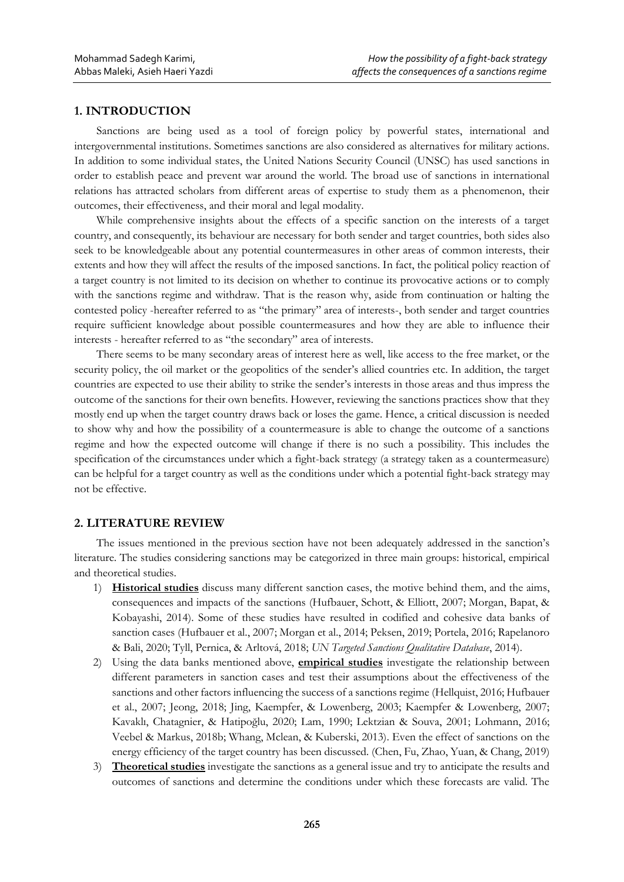## **1. INTRODUCTION**

Sanctions are being used as a tool of foreign policy by powerful states, international and intergovernmental institutions. Sometimes sanctions are also considered as alternatives for military actions. In addition to some individual states, the United Nations Security Council (UNSC) has used sanctions in order to establish peace and prevent war around the world. The broad use of sanctions in international relations has attracted scholars from different areas of expertise to study them as a phenomenon, their outcomes, their effectiveness, and their moral and legal modality.

While comprehensive insights about the effects of a specific sanction on the interests of a target country, and consequently, its behaviour are necessary for both sender and target countries, both sides also seek to be knowledgeable about any potential countermeasures in other areas of common interests, their extents and how they will affect the results of the imposed sanctions. In fact, the political policy reaction of a target country is not limited to its decision on whether to continue its provocative actions or to comply with the sanctions regime and withdraw. That is the reason why, aside from continuation or halting the contested policy -hereafter referred to as "the primary" area of interests-, both sender and target countries require sufficient knowledge about possible countermeasures and how they are able to influence their interests - hereafter referred to as "the secondary" area of interests.

There seems to be many secondary areas of interest here as well, like access to the free market, or the security policy, the oil market or the geopolitics of the sender's allied countries etc. In addition, the target countries are expected to use their ability to strike the sender's interests in those areas and thus impress the outcome of the sanctions for their own benefits. However, reviewing the sanctions practices show that they mostly end up when the target country draws back or loses the game. Hence, a critical discussion is needed to show why and how the possibility of a countermeasure is able to change the outcome of a sanctions regime and how the expected outcome will change if there is no such a possibility. This includes the specification of the circumstances under which a fight-back strategy (a strategy taken as a countermeasure) can be helpful for a target country as well as the conditions under which a potential fight-back strategy may not be effective.

#### **2. LITERATURE REVIEW**

The issues mentioned in the previous section have not been adequately addressed in the sanction's literature. The studies considering sanctions may be categorized in three main groups: historical, empirical and theoretical studies.

- 1) **Historical studies** discuss many different sanction cases, the motive behind them, and the aims, consequences and impacts of the sanctions (Hufbauer, Schott, & Elliott, 2007; Morgan, Bapat, & Kobayashi, 2014). Some of these studies have resulted in codified and cohesive data banks of sanction cases (Hufbauer et al., 2007; Morgan et al., 2014; Peksen, 2019; Portela, 2016; Rapelanoro & Bali, 2020; Tyll, Pernica, & Arltová, 2018; *UN Targeted Sanctions Qualitative Database*, 2014).
- 2) Using the data banks mentioned above, **empirical studies** investigate the relationship between different parameters in sanction cases and test their assumptions about the effectiveness of the sanctions and other factors influencing the success of a sanctions regime (Hellquist, 2016; Hufbauer et al., 2007; Jeong, 2018; Jing, Kaempfer, & Lowenberg, 2003; Kaempfer & Lowenberg, 2007; Kavaklı, Chatagnier, & Hatipoğlu, 2020; Lam, 1990; Lektzian & Souva, 2001; Lohmann, 2016; Veebel & Markus, 2018b; Whang, Mclean, & Kuberski, 2013). Even the effect of sanctions on the energy efficiency of the target country has been discussed. (Chen, Fu, Zhao, Yuan, & Chang, 2019)
- 3) **Theoretical studies** investigate the sanctions as a general issue and try to anticipate the results and outcomes of sanctions and determine the conditions under which these forecasts are valid. The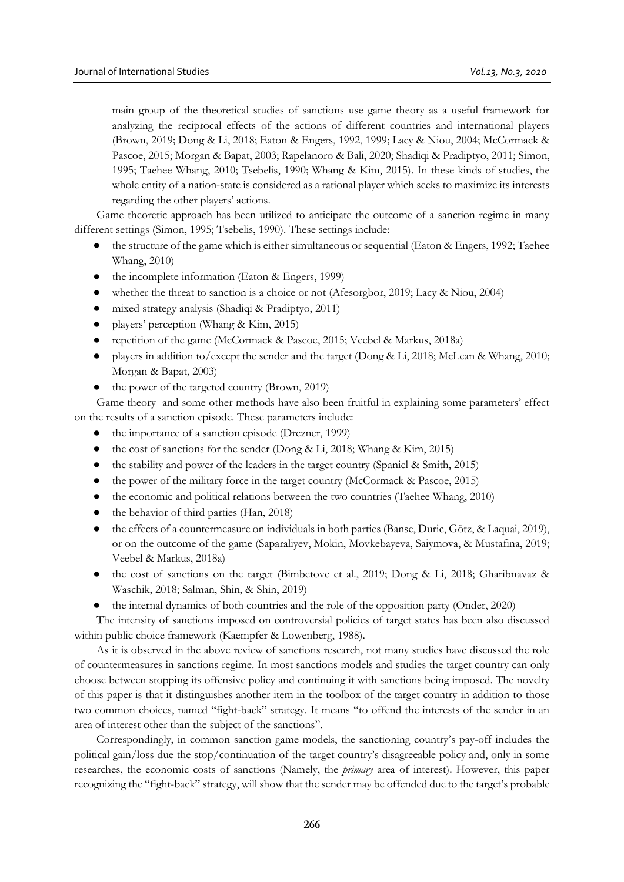main group of the theoretical studies of sanctions use game theory as a useful framework for analyzing the reciprocal effects of the actions of different countries and international players (Brown, 2019; Dong & Li, 2018; Eaton & Engers, 1992, 1999; Lacy & Niou, 2004; McCormack & Pascoe, 2015; Morgan & Bapat, 2003; Rapelanoro & Bali, 2020; Shadiqi & Pradiptyo, 2011; Simon, 1995; Taehee Whang, 2010; Tsebelis, 1990; Whang & Kim, 2015). In these kinds of studies, the whole entity of a nation-state is considered as a rational player which seeks to maximize its interests regarding the other players' actions.

Game theoretic approach has been utilized to anticipate the outcome of a sanction regime in many different settings (Simon, 1995; Tsebelis, 1990). These settings include:

- the structure of the game which is either simultaneous or sequential (Eaton & Engers, 1992; Taehee Whang, 2010)
- the incomplete information (Eaton & Engers, 1999)
- whether the threat to sanction is a choice or not (Afesorgbor, 2019; Lacy & Niou, 2004)
- mixed strategy analysis (Shadiqi & Pradiptyo, 2011)
- players' perception (Whang & Kim, 2015)
- repetition of the game (McCormack & Pascoe, 2015; Veebel & Markus, 2018a)
- players in addition to/except the sender and the target (Dong & Li, 2018; McLean & Whang, 2010; Morgan & Bapat, 2003)
- the power of the targeted country (Brown, 2019)

Game theory and some other methods have also been fruitful in explaining some parameters' effect on the results of a sanction episode. These parameters include:

- the importance of a sanction episode (Drezner, 1999)
- the cost of sanctions for the sender (Dong & Li, 2018; Whang & Kim, 2015)
- the stability and power of the leaders in the target country (Spaniel & Smith, 2015)
- the power of the military force in the target country (McCormack & Pascoe, 2015)
- the economic and political relations between the two countries (Taehee Whang, 2010)
- the behavior of third parties (Han, 2018)
- the effects of a countermeasure on individuals in both parties (Banse, Duric, Götz, & Laquai, 2019), or on the outcome of the game (Saparaliyev, Mokin, Movkebayeva, Saiymova, & Mustafina, 2019; Veebel & Markus, 2018a)
- the cost of sanctions on the target (Bimbetove et al., 2019; Dong & Li, 2018; Gharibnavaz & Waschik, 2018; Salman, Shin, & Shin, 2019)
- the internal dynamics of both countries and the role of the opposition party (Onder, 2020)

The intensity of sanctions imposed on controversial policies of target states has been also discussed within public choice framework (Kaempfer & Lowenberg, 1988).

As it is observed in the above review of sanctions research, not many studies have discussed the role of countermeasures in sanctions regime. In most sanctions models and studies the target country can only choose between stopping its offensive policy and continuing it with sanctions being imposed. The novelty of this paper is that it distinguishes another item in the toolbox of the target country in addition to those two common choices, named "fight-back" strategy. It means "to offend the interests of the sender in an area of interest other than the subject of the sanctions".

Correspondingly, in common sanction game models, the sanctioning country's pay-off includes the political gain/loss due the stop/continuation of the target country's disagreeable policy and, only in some researches, the economic costs of sanctions (Namely, the *primary* area of interest). However, this paper recognizing the "fight-back" strategy, will show that the sender may be offended due to the target's probable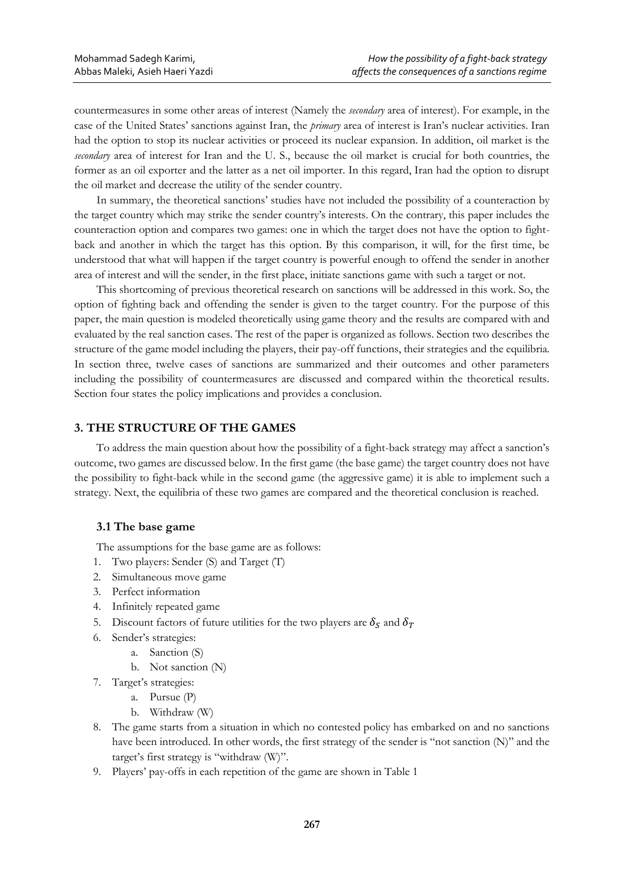countermeasures in some other areas of interest (Namely the *secondary* area of interest). For example, in the case of the United States' sanctions against Iran, the *primary* area of interest is Iran's nuclear activities. Iran had the option to stop its nuclear activities or proceed its nuclear expansion. In addition, oil market is the *secondary* area of interest for Iran and the U. S., because the oil market is crucial for both countries, the former as an oil exporter and the latter as a net oil importer. In this regard, Iran had the option to disrupt the oil market and decrease the utility of the sender country.

In summary, the theoretical sanctions' studies have not included the possibility of a counteraction by the target country which may strike the sender country's interests. On the contrary, this paper includes the counteraction option and compares two games: one in which the target does not have the option to fightback and another in which the target has this option. By this comparison, it will, for the first time, be understood that what will happen if the target country is powerful enough to offend the sender in another area of interest and will the sender, in the first place, initiate sanctions game with such a target or not.

This shortcoming of previous theoretical research on sanctions will be addressed in this work. So, the option of fighting back and offending the sender is given to the target country. For the purpose of this paper, the main question is modeled theoretically using game theory and the results are compared with and evaluated by the real sanction cases. The rest of the paper is organized as follows. Section two describes the structure of the game model including the players, their pay-off functions, their strategies and the equilibria. In section three, twelve cases of sanctions are summarized and their outcomes and other parameters including the possibility of countermeasures are discussed and compared within the theoretical results. Section four states the policy implications and provides a conclusion.

# **3. THE STRUCTURE OF THE GAMES**

To address the main question about how the possibility of a fight-back strategy may affect a sanction's outcome, two games are discussed below. In the first game (the base game) the target country does not have the possibility to fight-back while in the second game (the aggressive game) it is able to implement such a strategy. Next, the equilibria of these two games are compared and the theoretical conclusion is reached.

#### **3.1 The base game**

The assumptions for the base game are as follows:

- 1. Two players: Sender (S) and Target (T)
- 2. Simultaneous move game
- 3. Perfect information
- 4. Infinitely repeated game
- 5. Discount factors of future utilities for the two players are  $\delta_S$  and  $\delta_T$
- 6. Sender's strategies:
	- a. Sanction (S)
	- b. Not sanction (N)
- 7. Target's strategies:
	- a. Pursue (P)
	- b. Withdraw (W)
- 8. The game starts from a situation in which no contested policy has embarked on and no sanctions have been introduced. In other words, the first strategy of the sender is "not sanction (N)" and the target's first strategy is "withdraw (W)".
- 9. Players' pay-offs in each repetition of the game are shown in Table 1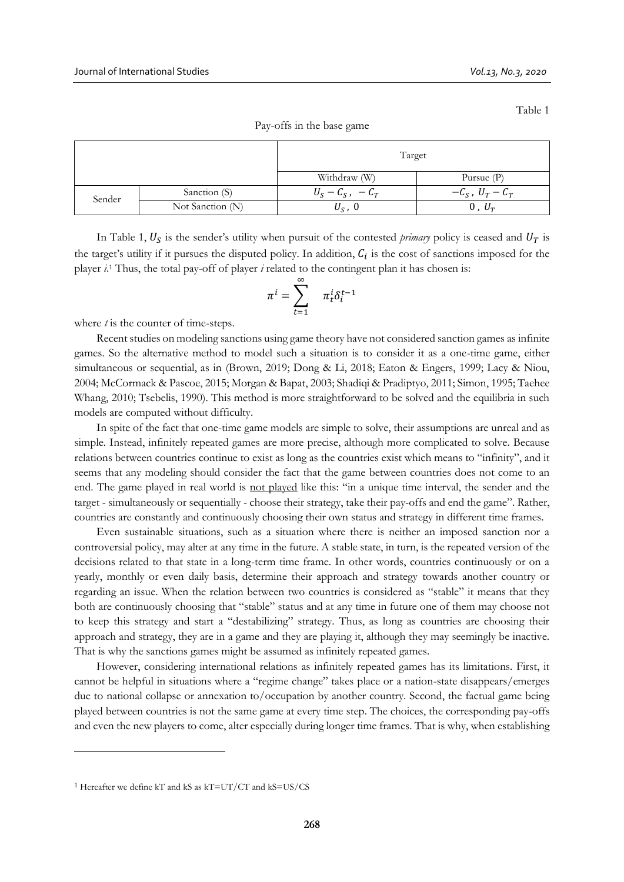Table 1

|        |                  | Target               |                      |  |  |
|--------|------------------|----------------------|----------------------|--|--|
|        |                  | Withdraw (W)         | Pursue $(P)$         |  |  |
| Sender | Sanction (S)     | $U_S - C_S$ , $-C_T$ | $-C_S$ , $U_T - C_T$ |  |  |
|        | Not Sanction (N) | $U_{\rm S}$ , 0      | $0, U\tau$           |  |  |

Pay-offs in the base game

In Table 1,  $U_s$  is the sender's utility when pursuit of the contested *primary* policy is ceased and  $U_T$  is the target's utility if it pursues the disputed policy. In addition,  $C_i$  is the cost of sanctions imposed for the player *i*. <sup>1</sup> Thus, the total pay-off of player *i* related to the contingent plan it has chosen is:

$$
\pi^i = \sum_{t=1}^{\infty} \pi^i_t \delta^{t-1}_i
$$

where *t* is the counter of time-steps.

Recent studies on modeling sanctions using game theory have not considered sanction games as infinite games. So the alternative method to model such a situation is to consider it as a one-time game, either simultaneous or sequential, as in (Brown, 2019; Dong & Li, 2018; Eaton & Engers, 1999; Lacy & Niou, 2004; McCormack & Pascoe, 2015; Morgan & Bapat, 2003; Shadiqi & Pradiptyo, 2011; Simon, 1995; Taehee Whang, 2010; Tsebelis, 1990). This method is more straightforward to be solved and the equilibria in such models are computed without difficulty.

In spite of the fact that one-time game models are simple to solve, their assumptions are unreal and as simple. Instead, infinitely repeated games are more precise, although more complicated to solve. Because relations between countries continue to exist as long as the countries exist which means to "infinity", and it seems that any modeling should consider the fact that the game between countries does not come to an end. The game played in real world is not played like this: "in a unique time interval, the sender and the target - simultaneously or sequentially - choose their strategy, take their pay-offs and end the game". Rather, countries are constantly and continuously choosing their own status and strategy in different time frames.

Even sustainable situations, such as a situation where there is neither an imposed sanction nor a controversial policy, may alter at any time in the future. A stable state, in turn, is the repeated version of the decisions related to that state in a long-term time frame. In other words, countries continuously or on a yearly, monthly or even daily basis, determine their approach and strategy towards another country or regarding an issue. When the relation between two countries is considered as "stable" it means that they both are continuously choosing that "stable" status and at any time in future one of them may choose not to keep this strategy and start a "destabilizing" strategy. Thus, as long as countries are choosing their approach and strategy, they are in a game and they are playing it, although they may seemingly be inactive. That is why the sanctions games might be assumed as infinitely repeated games.

However, considering international relations as infinitely repeated games has its limitations. First, it cannot be helpful in situations where a "regime change" takes place or a nation-state disappears/emerges due to national collapse or annexation to/occupation by another country. Second, the factual game being played between countries is not the same game at every time step. The choices, the corresponding pay-offs and even the new players to come, alter especially during longer time frames. That is why, when establishing

 $\overline{a}$ 

<sup>1</sup> Hereafter we define kT and kS as kT=UT/CT and kS=US/CS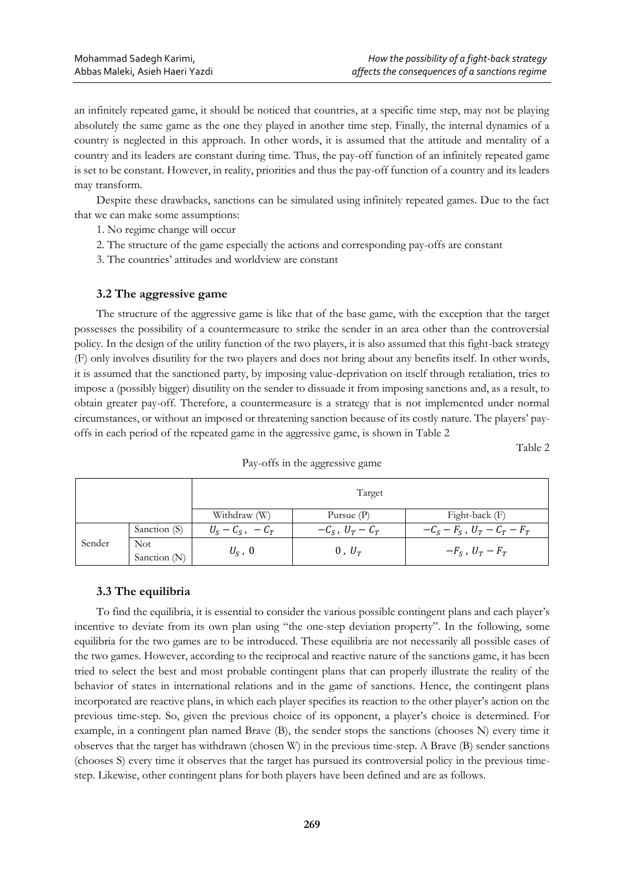an infinitely repeated game, it should be noticed that countries, at a specific time step, may not be playing absolutely the same game as the one they played in another time step. Finally, the internal dynamics of a country is neglected in this approach. In other words, it is assumed that the attitude and mentality of a country and its leaders are constant during time. Thus, the pay-off function of an infinitely repeated game is set to be constant. However, in reality, priorities and thus the pay-off function of a country and its leaders may transform.

Despite these drawbacks, sanctions can be simulated using infinitely repeated games. Due to the fact that we can make some assumptions:

- 1. No regime change will occur
- 2. The structure of the game especially the actions and corresponding pay-offs are constant
- 3. The countries' attitudes and worldview are constant

# **3.2 The aggressive game**

The structure of the aggressive game is like that of the base game, with the exception that the target possesses the possibility of a countermeasure to strike the sender in an area other than the controversial policy. In the design of the utility function of the two players, it is also assumed that this fight-back strategy (F) only involves disutility for the two players and does not bring about any benefits itself. In other words, it is assumed that the sanctioned party, by imposing value-deprivation on itself through retaliation, tries to impose a (possibly bigger) disutility on the sender to dissuade it from imposing sanctions and, as a result, to obtain greater pay-off. Therefore, a countermeasure is a strategy that is not implemented under normal circumstances, or without an imposed or threatening sanction because of its costly nature. The players' payoffs in each period of the repeated game in the aggressive game, is shown in Table 2

Table 2

|        |                            | Target                       |                      |                            |  |  |
|--------|----------------------------|------------------------------|----------------------|----------------------------|--|--|
|        |                            | Withdraw (W)<br>Pursue $(P)$ |                      | Fight-back (F)             |  |  |
|        | Sanction (S)               | $U_S - C_S$ , $-C_T$         | $-C_S$ , $U_T - C_T$ | $-C_S-F_S$ , $U_T-C_T-F_T$ |  |  |
| Sender | <b>Not</b><br>Sanction (N) | $U_{\rm S}$ , 0              | $0, U_T$             | $-F_S$ , $U_T-F_T$         |  |  |

Pay-offs in the aggressive game

# **3.3 The equilibria**

To find the equilibria, it is essential to consider the various possible contingent plans and each player's incentive to deviate from its own plan using "the one-step deviation property". In the following, some equilibria for the two games are to be introduced. These equilibria are not necessarily all possible cases of the two games. However, according to the reciprocal and reactive nature of the sanctions game, it has been tried to select the best and most probable contingent plans that can properly illustrate the reality of the behavior of states in international relations and in the game of sanctions. Hence, the contingent plans incorporated are reactive plans, in which each player specifies its reaction to the other player's action on the previous time-step. So, given the previous choice of its opponent, a player's choice is determined. For example, in a contingent plan named Brave (B), the sender stops the sanctions (chooses N) every time it observes that the target has withdrawn (chosen W) in the previous time-step. A Brave (B) sender sanctions (chooses S) every time it observes that the target has pursued its controversial policy in the previous timestep. Likewise, other contingent plans for both players have been defined and are as follows.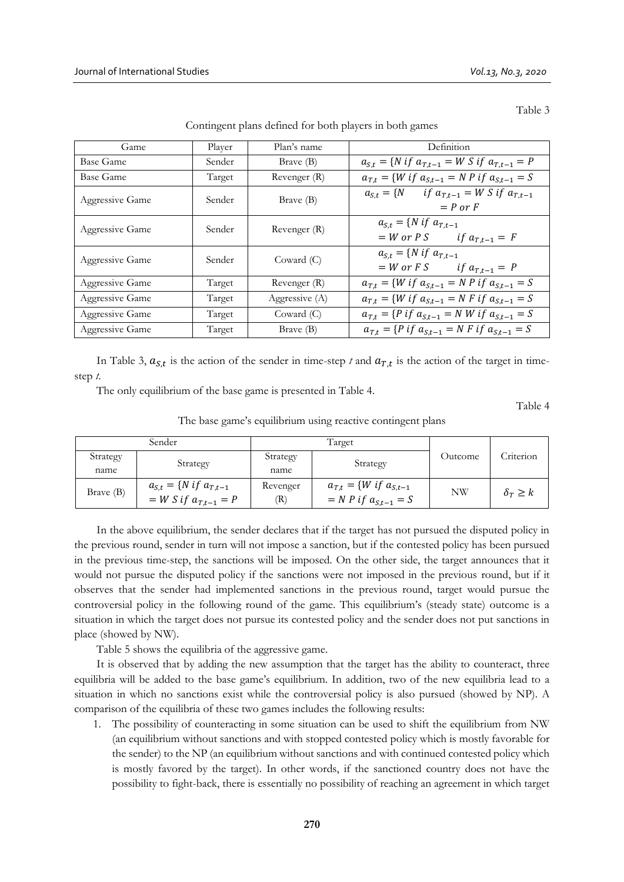Table 3

| Game            | Player | Plan's name    | Definition                                                                                 |
|-----------------|--------|----------------|--------------------------------------------------------------------------------------------|
| Base Game       | Sender | Brave (B)      | $a_{S,t} = \{ N \text{ if } a_{T,t-1} = W \text{ } S \text{ if } a_{T,t-1} = P \}$         |
| Base Game       | Target | Revenger (R)   | $a_{T,t}$ = { <i>W</i> if $a_{S,t-1}$ = <i>N P</i> if $a_{S,t-1}$ = <i>S</i>               |
| Aggressive Game | Sender | Brave (B)      | $a_{S,t} = \{N \text{ if } a_{T,t-1} = W S \text{ if } a_{T,t-1}\}$<br>$= P \text{ or } F$ |
| Aggressive Game | Sender | Revenger (R)   | $a_{S,t} = \{ N \text{ if } a_{T,t-1} \}$<br>$=$ <i>W</i> or <i>P S</i> if $a_{T,t-1} = F$ |
| Aggressive Game | Sender | Coward $(C)$   | $a_{S,t} = \{ N \text{ if } a_{T,t-1} \}$<br>$= W \text{ or } F S$ if $a_{T,t-1} = P$      |
| Aggressive Game | Target | Revenger (R)   | $a_{T,t} = \{W \text{ if } a_{S,t-1} = N \text{ }P \text{ if } a_{S,t-1} = S\}$            |
| Aggressive Game | Target | Aggressive (A) | $a_{T,t}$ = { <i>W</i> if $a_{S,t-1}$ = <i>N F</i> if $a_{S,t-1}$ = <i>S</i>               |
| Aggressive Game | Target | Coward $(C)$   | $a_{T,t} = \{P \text{ if } a_{S,t-1} = N \text{ } W \text{ if } a_{S,t-1} = S\}$           |
| Aggressive Game | Target | Brave (B)      | $a_{T,t} = \{P \text{ if } a_{S,t-1} = N F \text{ if } a_{S,t-1} = S\}$                    |

Contingent plans defined for both players in both games

In Table 3,  $a_{s,t}$  is the action of the sender in time-step *t* and  $a_{T,t}$  is the action of the target in timestep *t*.

The only equilibrium of the base game is presented in Table 4.

Table 4

The base game's equilibrium using reactive contingent plans

|                  | Sender                                                                |                  | Target                                                                |           |                        |
|------------------|-----------------------------------------------------------------------|------------------|-----------------------------------------------------------------------|-----------|------------------------|
| Strategy<br>name | Strategy                                                              | Strategy<br>name | Strategy                                                              | Outcome   | Criterion              |
| Brave (B)        | $a_{S,t} = \{ N \text{ if } a_{T,t-1} \}$<br>$= W S if a_{T,t-1} = P$ | Revenger<br>(R)  | $a_{T,t} = \{W \text{ if } a_{S,t-1}\}$<br>$= N P$ if $a_{S,t-1} = S$ | <b>NW</b> | $\delta_{\tau} \geq k$ |

In the above equilibrium, the sender declares that if the target has not pursued the disputed policy in the previous round, sender in turn will not impose a sanction, but if the contested policy has been pursued in the previous time-step, the sanctions will be imposed. On the other side, the target announces that it would not pursue the disputed policy if the sanctions were not imposed in the previous round, but if it observes that the sender had implemented sanctions in the previous round, target would pursue the controversial policy in the following round of the game. This equilibrium's (steady state) outcome is a situation in which the target does not pursue its contested policy and the sender does not put sanctions in place (showed by NW).

Table 5 shows the equilibria of the aggressive game.

It is observed that by adding the new assumption that the target has the ability to counteract, three equilibria will be added to the base game's equilibrium. In addition, two of the new equilibria lead to a situation in which no sanctions exist while the controversial policy is also pursued (showed by NP). A comparison of the equilibria of these two games includes the following results:

1. The possibility of counteracting in some situation can be used to shift the equilibrium from NW (an equilibrium without sanctions and with stopped contested policy which is mostly favorable for the sender) to the NP (an equilibrium without sanctions and with continued contested policy which is mostly favored by the target). In other words, if the sanctioned country does not have the possibility to fight-back, there is essentially no possibility of reaching an agreement in which target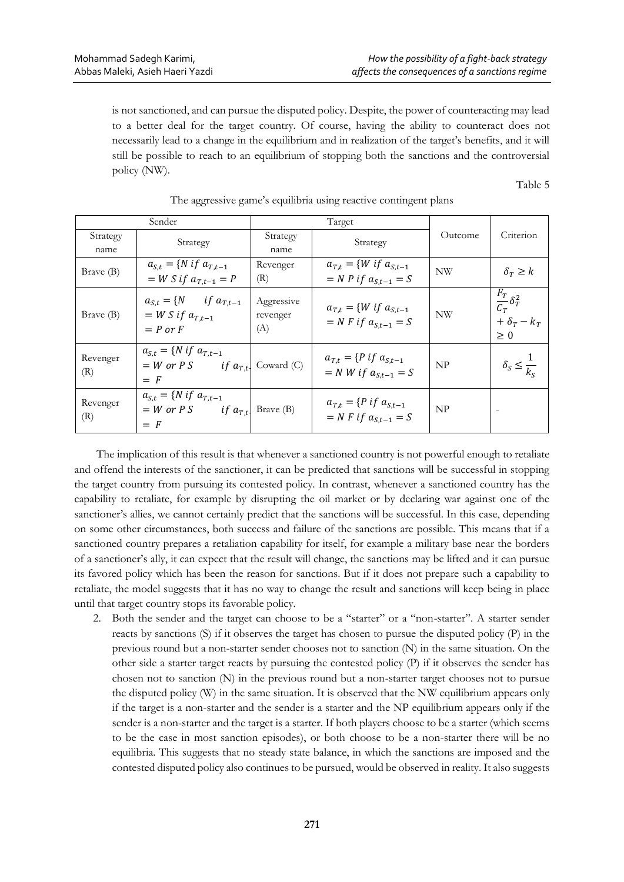is not sanctioned, and can pursue the disputed policy. Despite, the power of counteracting may lead to a better deal for the target country. Of course, having the ability to counteract does not necessarily lead to a change in the equilibrium and in realization of the target's benefits, and it will still be possible to reach to an equilibrium of stopping both the sanctions and the controversial policy (NW).

Table 5

| Sender           |                                                                                                             |                               | Target                                                                |           |                                                                  |
|------------------|-------------------------------------------------------------------------------------------------------------|-------------------------------|-----------------------------------------------------------------------|-----------|------------------------------------------------------------------|
| Strategy<br>name | Strategy                                                                                                    | Strategy<br>name              | Strategy                                                              | Outcome   | Criterion                                                        |
| Brave (B)        | $a_{S,t} = \{ N \text{ if } a_{T,t-1} \}$<br>$= W S if a_{T,t-1} = P$                                       | Revenger<br>(R)               | $a_{T,t} = \{W \text{ if } a_{S,t-1}\}$<br>$= N P if a_{S,t-1} = S$   | <b>NW</b> | $\delta_T \geq k$                                                |
| Brave (B)        | $a_{S,t} = \{N \text{ if } a_{T,t-1}\}$<br>$=$ W S if $a_{T,t-1}$<br>$= P$ or $F$                           | Aggressive<br>revenger<br>(A) | $a_{T,t} = \{W \text{ if } a_{S,t-1}\}$<br>$= N F$ if $a_{St-1} = S$  | <b>NW</b> | $\frac{F_T}{C_T} \delta_T^2$<br>+ $\delta_T$ – $k_T$<br>$\geq 0$ |
| Revenger<br>(R)  | $a_{S,t} = \{ N \text{ if } a_{T,t-1} \}$<br>$= W \text{ or } P \text{ S}$ if $a_{T,t}$ Coward (C)<br>$=$ F |                               | $a_{T,t} = \{P \text{ if } a_{S,t-1}\}$<br>$= N W if a_{S,t-1} = S$   | NP        | $\delta_S \leq \frac{1}{k_S}$                                    |
| Revenger<br>(R)  | $a_{S,t} = \{ N \text{ if } a_{T,t-1} \}$<br>$= W \text{ or } P S$ if $a_{T,t}$ Brave (B)<br>$=$ F          |                               | $a_{T,t} = \{P \text{ if } a_{S,t-1}\}$<br>$= N F$ if $a_{S,t-1} = S$ | NP        |                                                                  |

# The aggressive game's equilibria using reactive contingent plans

The implication of this result is that whenever a sanctioned country is not powerful enough to retaliate and offend the interests of the sanctioner, it can be predicted that sanctions will be successful in stopping the target country from pursuing its contested policy. In contrast, whenever a sanctioned country has the capability to retaliate, for example by disrupting the oil market or by declaring war against one of the sanctioner's allies, we cannot certainly predict that the sanctions will be successful. In this case, depending on some other circumstances, both success and failure of the sanctions are possible. This means that if a sanctioned country prepares a retaliation capability for itself, for example a military base near the borders of a sanctioner's ally, it can expect that the result will change, the sanctions may be lifted and it can pursue its favored policy which has been the reason for sanctions. But if it does not prepare such a capability to retaliate, the model suggests that it has no way to change the result and sanctions will keep being in place until that target country stops its favorable policy.

2. Both the sender and the target can choose to be a "starter" or a "non-starter". A starter sender reacts by sanctions (S) if it observes the target has chosen to pursue the disputed policy (P) in the previous round but a non-starter sender chooses not to sanction (N) in the same situation. On the other side a starter target reacts by pursuing the contested policy (P) if it observes the sender has chosen not to sanction (N) in the previous round but a non-starter target chooses not to pursue the disputed policy (W) in the same situation. It is observed that the NW equilibrium appears only if the target is a non-starter and the sender is a starter and the NP equilibrium appears only if the sender is a non-starter and the target is a starter. If both players choose to be a starter (which seems to be the case in most sanction episodes), or both choose to be a non-starter there will be no equilibria. This suggests that no steady state balance, in which the sanctions are imposed and the contested disputed policy also continues to be pursued, would be observed in reality. It also suggests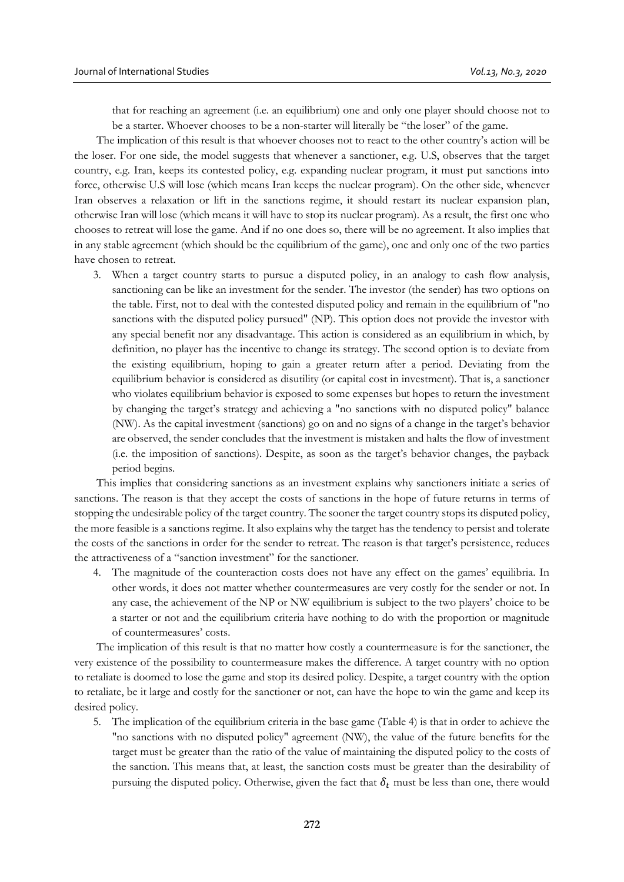that for reaching an agreement (i.e. an equilibrium) one and only one player should choose not to be a starter. Whoever chooses to be a non-starter will literally be "the loser" of the game.

The implication of this result is that whoever chooses not to react to the other country's action will be the loser. For one side, the model suggests that whenever a sanctioner, e.g. U.S, observes that the target country, e.g. Iran, keeps its contested policy, e.g. expanding nuclear program, it must put sanctions into force, otherwise U.S will lose (which means Iran keeps the nuclear program). On the other side, whenever Iran observes a relaxation or lift in the sanctions regime, it should restart its nuclear expansion plan, otherwise Iran will lose (which means it will have to stop its nuclear program). As a result, the first one who chooses to retreat will lose the game. And if no one does so, there will be no agreement. It also implies that in any stable agreement (which should be the equilibrium of the game), one and only one of the two parties have chosen to retreat.

3. When a target country starts to pursue a disputed policy, in an analogy to cash flow analysis, sanctioning can be like an investment for the sender. The investor (the sender) has two options on the table. First, not to deal with the contested disputed policy and remain in the equilibrium of "no sanctions with the disputed policy pursued" (NP). This option does not provide the investor with any special benefit nor any disadvantage. This action is considered as an equilibrium in which, by definition, no player has the incentive to change its strategy. The second option is to deviate from the existing equilibrium, hoping to gain a greater return after a period. Deviating from the equilibrium behavior is considered as disutility (or capital cost in investment). That is, a sanctioner who violates equilibrium behavior is exposed to some expenses but hopes to return the investment by changing the target's strategy and achieving a "no sanctions with no disputed policy" balance (NW). As the capital investment (sanctions) go on and no signs of a change in the target's behavior are observed, the sender concludes that the investment is mistaken and halts the flow of investment (i.e. the imposition of sanctions). Despite, as soon as the target's behavior changes, the payback period begins.

This implies that considering sanctions as an investment explains why sanctioners initiate a series of sanctions. The reason is that they accept the costs of sanctions in the hope of future returns in terms of stopping the undesirable policy of the target country. The sooner the target country stops its disputed policy, the more feasible is a sanctions regime. It also explains why the target has the tendency to persist and tolerate the costs of the sanctions in order for the sender to retreat. The reason is that target's persistence, reduces the attractiveness of a "sanction investment" for the sanctioner.

4. The magnitude of the counteraction costs does not have any effect on the games' equilibria. In other words, it does not matter whether countermeasures are very costly for the sender or not. In any case, the achievement of the NP or NW equilibrium is subject to the two players' choice to be a starter or not and the equilibrium criteria have nothing to do with the proportion or magnitude of countermeasures' costs.

The implication of this result is that no matter how costly a countermeasure is for the sanctioner, the very existence of the possibility to countermeasure makes the difference. A target country with no option to retaliate is doomed to lose the game and stop its desired policy. Despite, a target country with the option to retaliate, be it large and costly for the sanctioner or not, can have the hope to win the game and keep its desired policy.

5. The implication of the equilibrium criteria in the base game (Table 4) is that in order to achieve the "no sanctions with no disputed policy" agreement (NW), the value of the future benefits for the target must be greater than the ratio of the value of maintaining the disputed policy to the costs of the sanction. This means that, at least, the sanction costs must be greater than the desirability of pursuing the disputed policy. Otherwise, given the fact that  $\delta_t$  must be less than one, there would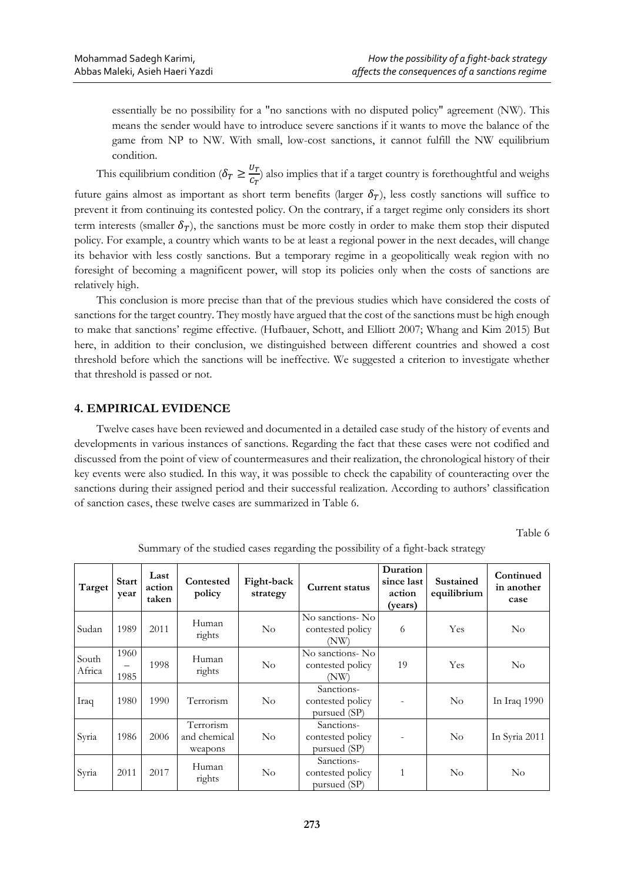essentially be no possibility for a "no sanctions with no disputed policy" agreement (NW). This means the sender would have to introduce severe sanctions if it wants to move the balance of the game from NP to NW. With small, low-cost sanctions, it cannot fulfill the NW equilibrium condition.

This equilibrium condition ( $\delta_T \geq \frac{U_T}{C_T}$  $\frac{G_T}{G_T}$ ) also implies that if a target country is forethoughtful and weighs

future gains almost as important as short term benefits (larger  $\delta_T$ ), less costly sanctions will suffice to prevent it from continuing its contested policy. On the contrary, if a target regime only considers its short term interests (smaller  $\delta_T$ ), the sanctions must be more costly in order to make them stop their disputed policy. For example, a country which wants to be at least a regional power in the next decades, will change its behavior with less costly sanctions. But a temporary regime in a geopolitically weak region with no foresight of becoming a magnificent power, will stop its policies only when the costs of sanctions are relatively high.

This conclusion is more precise than that of the previous studies which have considered the costs of sanctions for the target country. They mostly have argued that the cost of the sanctions must be high enough to make that sanctions' regime effective. (Hufbauer, Schott, and Elliott 2007; Whang and Kim 2015) But here, in addition to their conclusion, we distinguished between different countries and showed a cost threshold before which the sanctions will be ineffective. We suggested a criterion to investigate whether that threshold is passed or not.

# **4. EMPIRICAL EVIDENCE**

Twelve cases have been reviewed and documented in a detailed case study of the history of events and developments in various instances of sanctions. Regarding the fact that these cases were not codified and discussed from the point of view of countermeasures and their realization, the chronological history of their key events were also studied. In this way, it was possible to check the capability of counteracting over the sanctions during their assigned period and their successful realization. According to authors' classification of sanction cases, these twelve cases are summarized in Table 6.

Table 6

| Target          | <b>Start</b><br>year                     | Last<br>action<br>taken | Contested<br>policy                  | Fight-back<br>strategy | <b>Current status</b>                          | Duration<br>since last<br>action<br>(years) | Sustained<br>equilibrium | Continued<br>in another<br>case |
|-----------------|------------------------------------------|-------------------------|--------------------------------------|------------------------|------------------------------------------------|---------------------------------------------|--------------------------|---------------------------------|
| Sudan           | 1989                                     | 2011                    | Human<br>rights                      | $\rm No$               | No sanctions-No<br>contested policy<br>(NW)    | 6                                           | Yes                      | $\rm No$                        |
| South<br>Africa | 1960<br>$\overline{\phantom{0}}$<br>1985 | 1998                    | Human<br>rights                      | $\rm No$               | No sanctions- No<br>contested policy<br>(NW)   | 19                                          | Yes                      | $\rm No$                        |
| Iraq            | 1980                                     | 1990                    | Terrorism                            | $\rm No$               | Sanctions-<br>contested policy<br>pursued (SP) |                                             | $\rm No$                 | In Iraq 1990                    |
| Syria           | 1986                                     | 2006                    | Terrorism<br>and chemical<br>weapons | $\rm No$               | Sanctions-<br>contested policy<br>pursued (SP) |                                             | $\rm No$                 | In Syria 2011                   |
| Syria           | 2011                                     | 2017                    | Human<br>rights                      | $\rm No$               | Sanctions-<br>contested policy<br>pursued (SP) | 1                                           | No                       | $\rm No$                        |

Summary of the studied cases regarding the possibility of a fight-back strategy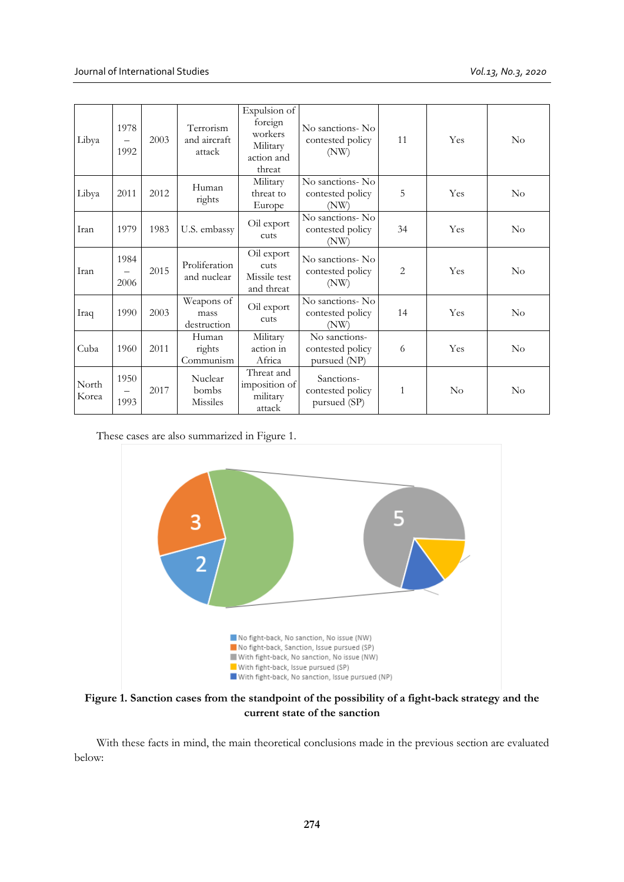| Libya          | 1978<br>1992 | 2003 | Terrorism<br>and aircraft<br>attack | Expulsion of<br>foreign<br>workers<br>Military<br>action and<br>threat | No sanctions-No<br>contested policy<br>(NW)       | 11           | Yes      | $\rm No$ |
|----------------|--------------|------|-------------------------------------|------------------------------------------------------------------------|---------------------------------------------------|--------------|----------|----------|
| Libya          | 2011         | 2012 | Human<br>rights                     | Military<br>threat to<br>Europe                                        | No sanctions- No<br>contested policy<br>(NW)      | 5            | Yes      | $\rm No$ |
| Iran           | 1979         | 1983 | U.S. embassy                        | Oil export<br>cuts                                                     | No sanctions-No<br>contested policy<br>(NW)       | 34           | Yes      | $\rm No$ |
| Iran           | 1984<br>2006 | 2015 | Proliferation<br>and nuclear        | Oil export<br>cuts<br>Missile test<br>and threat                       | No sanctions- No<br>contested policy<br>(NW)      | 2            | Yes      | $\rm No$ |
| Iraq           | 1990         | 2003 | Weapons of<br>mass<br>destruction   | Oil export<br>cuts                                                     | No sanctions- No<br>contested policy<br>(NW)      | 14           | Yes      | $\rm No$ |
| Cuba           | 1960         | 2011 | Human<br>rights<br>Communism        | Military<br>action in<br>Africa                                        | No sanctions-<br>contested policy<br>pursued (NP) | 6            | Yes      | $\rm No$ |
| North<br>Korea | 1950<br>1993 | 2017 | Nuclear<br>bombs<br>Missiles        | Threat and<br>imposition of<br>military<br>attack                      | Sanctions-<br>contested policy<br>pursued (SP)    | $\mathbf{1}$ | $\rm No$ | $\rm No$ |

These cases are also summarized in Figure 1.



**Figure 1. Sanction cases from the standpoint of the possibility of a fight-back strategy and the current state of the sanction**

With these facts in mind, the main theoretical conclusions made in the previous section are evaluated below: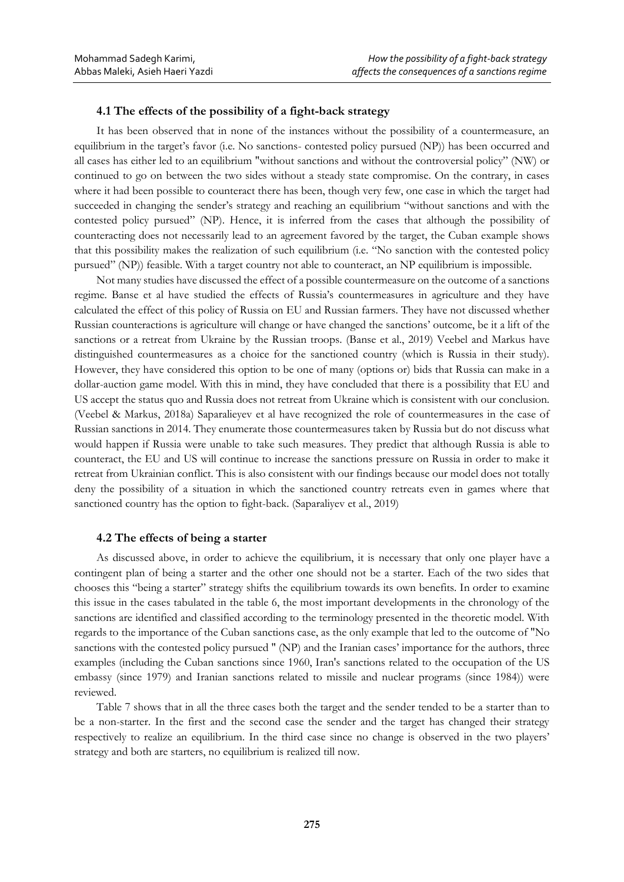# **4.1 The effects of the possibility of a fight-back strategy**

It has been observed that in none of the instances without the possibility of a countermeasure, an equilibrium in the target's favor (i.e. No sanctions- contested policy pursued (NP)) has been occurred and all cases has either led to an equilibrium "without sanctions and without the controversial policy" (NW) or continued to go on between the two sides without a steady state compromise. On the contrary, in cases where it had been possible to counteract there has been, though very few, one case in which the target had succeeded in changing the sender's strategy and reaching an equilibrium "without sanctions and with the contested policy pursued" (NP). Hence, it is inferred from the cases that although the possibility of counteracting does not necessarily lead to an agreement favored by the target, the Cuban example shows that this possibility makes the realization of such equilibrium (i.e. "No sanction with the contested policy pursued" (NP)) feasible. With a target country not able to counteract, an NP equilibrium is impossible.

Not many studies have discussed the effect of a possible countermeasure on the outcome of a sanctions regime. Banse et al have studied the effects of Russia's countermeasures in agriculture and they have calculated the effect of this policy of Russia on EU and Russian farmers. They have not discussed whether Russian counteractions is agriculture will change or have changed the sanctions' outcome, be it a lift of the sanctions or a retreat from Ukraine by the Russian troops. (Banse et al., 2019) Veebel and Markus have distinguished countermeasures as a choice for the sanctioned country (which is Russia in their study). However, they have considered this option to be one of many (options or) bids that Russia can make in a dollar-auction game model. With this in mind, they have concluded that there is a possibility that EU and US accept the status quo and Russia does not retreat from Ukraine which is consistent with our conclusion. (Veebel & Markus, 2018a) Saparalieyev et al have recognized the role of countermeasures in the case of Russian sanctions in 2014. They enumerate those countermeasures taken by Russia but do not discuss what would happen if Russia were unable to take such measures. They predict that although Russia is able to counteract, the EU and US will continue to increase the sanctions pressure on Russia in order to make it retreat from Ukrainian conflict. This is also consistent with our findings because our model does not totally deny the possibility of a situation in which the sanctioned country retreats even in games where that sanctioned country has the option to fight-back. (Saparaliyev et al., 2019)

#### **4.2 The effects of being a starter**

As discussed above, in order to achieve the equilibrium, it is necessary that only one player have a contingent plan of being a starter and the other one should not be a starter. Each of the two sides that chooses this "being a starter" strategy shifts the equilibrium towards its own benefits. In order to examine this issue in the cases tabulated in the table 6, the most important developments in the chronology of the sanctions are identified and classified according to the terminology presented in the theoretic model. With regards to the importance of the Cuban sanctions case, as the only example that led to the outcome of "No sanctions with the contested policy pursued " (NP) and the Iranian cases' importance for the authors, three examples (including the Cuban sanctions since 1960, Iran's sanctions related to the occupation of the US embassy (since 1979) and Iranian sanctions related to missile and nuclear programs (since 1984)) were reviewed.

Table 7 shows that in all the three cases both the target and the sender tended to be a starter than to be a non-starter. In the first and the second case the sender and the target has changed their strategy respectively to realize an equilibrium. In the third case since no change is observed in the two players' strategy and both are starters, no equilibrium is realized till now.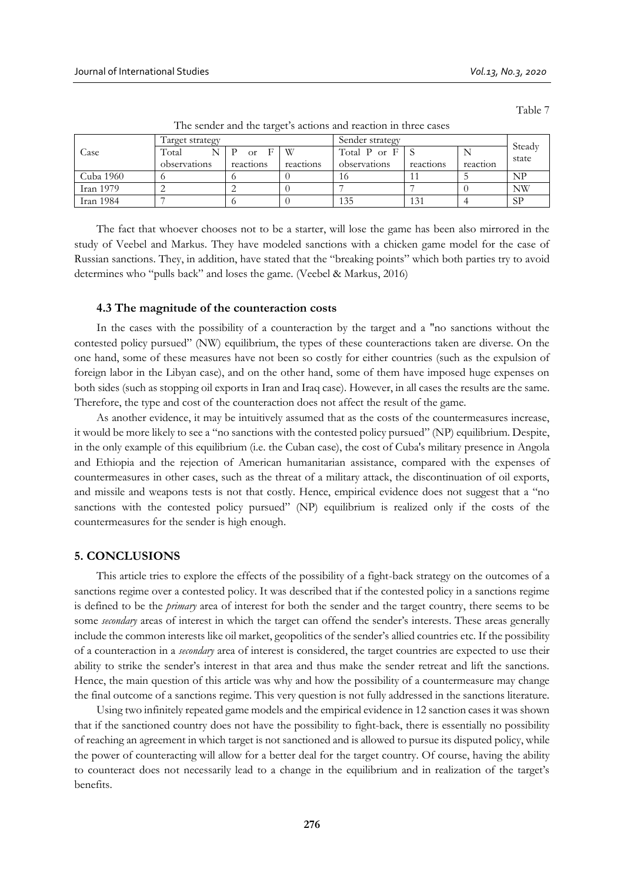Table 7

|           | l'arget strategy |               |           | Sender strategy |           |          | Steady |  |  |
|-----------|------------------|---------------|-----------|-----------------|-----------|----------|--------|--|--|
| Case      | Total            | <sub>Or</sub> | W         | Total P or F    |           |          | state  |  |  |
|           | observations     | reactions     | reactions | observations    | reactions | reaction |        |  |  |
| Cuba 1960 |                  |               |           | 16              |           |          | NP     |  |  |
| Iran 1979 |                  |               |           |                 |           |          | NW     |  |  |
| Iran 1984 |                  |               |           | 135             | 131       |          | SP     |  |  |

The sender and the target's actions and reaction in three cases

The fact that whoever chooses not to be a starter, will lose the game has been also mirrored in the study of Veebel and Markus. They have modeled sanctions with a chicken game model for the case of Russian sanctions. They, in addition, have stated that the "breaking points" which both parties try to avoid determines who "pulls back" and loses the game. (Veebel & Markus, 2016)

#### **4.3 The magnitude of the counteraction costs**

In the cases with the possibility of a counteraction by the target and a "no sanctions without the contested policy pursued" (NW) equilibrium, the types of these counteractions taken are diverse. On the one hand, some of these measures have not been so costly for either countries (such as the expulsion of foreign labor in the Libyan case), and on the other hand, some of them have imposed huge expenses on both sides (such as stopping oil exports in Iran and Iraq case). However, in all cases the results are the same. Therefore, the type and cost of the counteraction does not affect the result of the game.

As another evidence, it may be intuitively assumed that as the costs of the countermeasures increase, it would be more likely to see a "no sanctions with the contested policy pursued" (NP) equilibrium. Despite, in the only example of this equilibrium (i.e. the Cuban case), the cost of Cuba's military presence in Angola and Ethiopia and the rejection of American humanitarian assistance, compared with the expenses of countermeasures in other cases, such as the threat of a military attack, the discontinuation of oil exports, and missile and weapons tests is not that costly. Hence, empirical evidence does not suggest that a "no sanctions with the contested policy pursued" (NP) equilibrium is realized only if the costs of the countermeasures for the sender is high enough.

# **5. CONCLUSIONS**

This article tries to explore the effects of the possibility of a fight-back strategy on the outcomes of a sanctions regime over a contested policy. It was described that if the contested policy in a sanctions regime is defined to be the *primary* area of interest for both the sender and the target country, there seems to be some *secondary* areas of interest in which the target can offend the sender's interests. These areas generally include the common interests like oil market, geopolitics of the sender's allied countries etc. If the possibility of a counteraction in a *secondary* area of interest is considered, the target countries are expected to use their ability to strike the sender's interest in that area and thus make the sender retreat and lift the sanctions. Hence, the main question of this article was why and how the possibility of a countermeasure may change the final outcome of a sanctions regime. This very question is not fully addressed in the sanctions literature.

Using two infinitely repeated game models and the empirical evidence in 12 sanction cases it was shown that if the sanctioned country does not have the possibility to fight-back, there is essentially no possibility of reaching an agreement in which target is not sanctioned and is allowed to pursue its disputed policy, while the power of counteracting will allow for a better deal for the target country. Of course, having the ability to counteract does not necessarily lead to a change in the equilibrium and in realization of the target's benefits.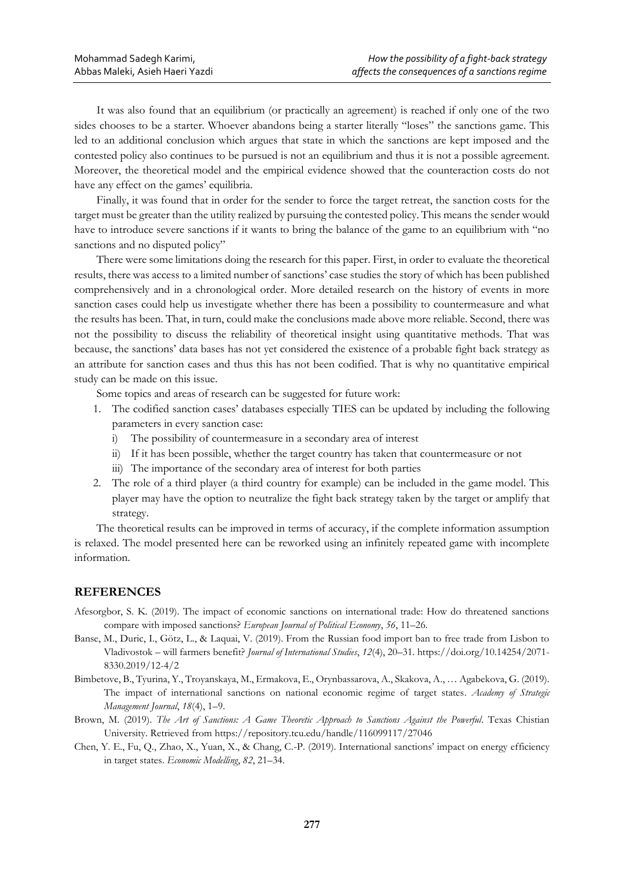It was also found that an equilibrium (or practically an agreement) is reached if only one of the two sides chooses to be a starter. Whoever abandons being a starter literally "loses" the sanctions game. This led to an additional conclusion which argues that state in which the sanctions are kept imposed and the contested policy also continues to be pursued is not an equilibrium and thus it is not a possible agreement. Moreover, the theoretical model and the empirical evidence showed that the counteraction costs do not have any effect on the games' equilibria.

Finally, it was found that in order for the sender to force the target retreat, the sanction costs for the target must be greater than the utility realized by pursuing the contested policy. This means the sender would have to introduce severe sanctions if it wants to bring the balance of the game to an equilibrium with "no sanctions and no disputed policy"

There were some limitations doing the research for this paper. First, in order to evaluate the theoretical results, there was access to a limited number of sanctions' case studies the story of which has been published comprehensively and in a chronological order. More detailed research on the history of events in more sanction cases could help us investigate whether there has been a possibility to countermeasure and what the results has been. That, in turn, could make the conclusions made above more reliable. Second, there was not the possibility to discuss the reliability of theoretical insight using quantitative methods. That was because, the sanctions' data bases has not yet considered the existence of a probable fight back strategy as an attribute for sanction cases and thus this has not been codified. That is why no quantitative empirical study can be made on this issue.

Some topics and areas of research can be suggested for future work:

- 1. The codified sanction cases' databases especially TIES can be updated by including the following parameters in every sanction case:
	- i) The possibility of countermeasure in a secondary area of interest
	- ii) If it has been possible, whether the target country has taken that countermeasure or not
	- iii) The importance of the secondary area of interest for both parties
- 2. The role of a third player (a third country for example) can be included in the game model. This player may have the option to neutralize the fight back strategy taken by the target or amplify that strategy.

The theoretical results can be improved in terms of accuracy, if the complete information assumption is relaxed. The model presented here can be reworked using an infinitely repeated game with incomplete information.

# **REFERENCES**

- Afesorgbor, S. K. (2019). The impact of economic sanctions on international trade: How do threatened sanctions compare with imposed sanctions? *European Journal of Political Economy*, *56*, 11–26.
- Banse, M., Duric, I., Götz, L., & Laquai, V. (2019). From the Russian food import ban to free trade from Lisbon to Vladivostok – will farmers benefit? *Journal of International Studies*, *12*(4), 20–31. https://doi.org/10.14254/2071- 8330.2019/12-4/2
- Bimbetove, B., Tyurina, Y., Troyanskaya, M., Ermakova, E., Orynbassarova, A., Skakova, A., … Agabekova, G. (2019). The impact of international sanctions on national economic regime of target states. *Academy of Strategic Management Journal*, *18*(4), 1–9.
- Brown, M. (2019). *The Art of Sanctions: A Game Theoretic Approach to Sanctions Against the Powerful*. Texas Chistian University. Retrieved from https://repository.tcu.edu/handle/116099117/27046
- Chen, Y. E., Fu, Q., Zhao, X., Yuan, X., & Chang, C.-P. (2019). International sanctions' impact on energy efficiency in target states. *Economic Modelling*, *82*, 21–34.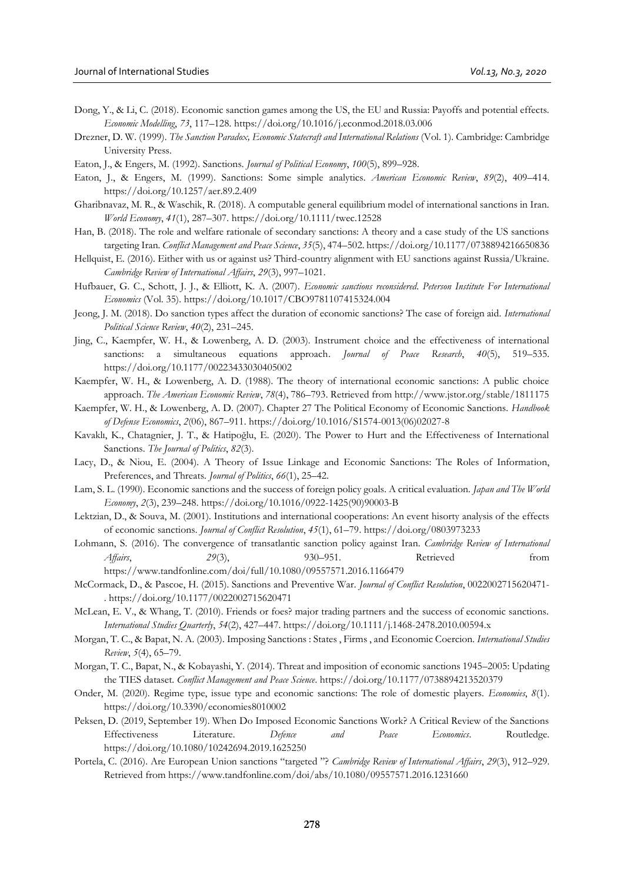- Dong, Y., & Li, C. (2018). Economic sanction games among the US, the EU and Russia: Payoffs and potential effects. *Economic Modelling*, *73*, 117–128. https://doi.org/10.1016/j.econmod.2018.03.006
- Drezner, D. W. (1999). *The Sanction Paradox, Economic Statecraft and International Relations* (Vol. 1). Cambridge: Cambridge University Press.
- Eaton, J., & Engers, M. (1992). Sanctions. *Journal of Political Economy*, *100*(5), 899–928.
- Eaton, J., & Engers, M. (1999). Sanctions: Some simple analytics. *American Economic Review*, *89*(2), 409–414. https://doi.org/10.1257/aer.89.2.409
- Gharibnavaz, M. R., & Waschik, R. (2018). A computable general equilibrium model of international sanctions in Iran. *World Economy*, *41*(1), 287–307. https://doi.org/10.1111/twec.12528
- Han, B. (2018). The role and welfare rationale of secondary sanctions: A theory and a case study of the US sanctions targeting Iran. *Conflict Management and Peace Science*, *35*(5), 474–502. https://doi.org/10.1177/0738894216650836
- Hellquist, E. (2016). Either with us or against us? Third-country alignment with EU sanctions against Russia/Ukraine. *Cambridge Review of International Affairs*, *29*(3), 997–1021.
- Hufbauer, G. C., Schott, J. J., & Elliott, K. A. (2007). *Economic sanctions reconsidered*. *Peterson Institute For International Economics* (Vol. 35). https://doi.org/10.1017/CBO9781107415324.004
- Jeong, J. M. (2018). Do sanction types affect the duration of economic sanctions? The case of foreign aid. *International Political Science Review*, *40*(2), 231–245.
- Jing, C., Kaempfer, W. H., & Lowenberg, A. D. (2003). Instrument choice and the effectiveness of international sanctions: a simultaneous equations approach. *Journal of Peace Research*, *40*(5), 519–535. https://doi.org/10.1177/00223433030405002
- Kaempfer, W. H., & Lowenberg, A. D. (1988). The theory of international economic sanctions: A public choice approach. *The American Economic Review*, *78*(4), 786–793. Retrieved from http://www.jstor.org/stable/1811175
- Kaempfer, W. H., & Lowenberg, A. D. (2007). Chapter 27 The Political Economy of Economic Sanctions. *Handbook of Defense Economics*, *2*(06), 867–911. https://doi.org/10.1016/S1574-0013(06)02027-8
- Kavaklı, K., Chatagnier, J. T., & Hatipoğlu, E. (2020). The Power to Hurt and the Effectiveness of International Sanctions. *The Journal of Politics*, *82*(3).
- Lacy, D., & Niou, E. (2004). A Theory of Issue Linkage and Economic Sanctions: The Roles of Information, Preferences, and Threats. *Journal of Politics*, *66*(1), 25–42.
- Lam, S. L. (1990). Economic sanctions and the success of foreign policy goals. A critical evaluation. *Japan and The World Economy*, *2*(3), 239–248. https://doi.org/10.1016/0922-1425(90)90003-B
- Lektzian, D., & Souva, M. (2001). Institutions and international cooperations: An event hisorty analysis of the effects of economic sanctions. *Journal of Conflict Resolution*, *45*(1), 61–79. https://doi.org/0803973233
- Lohmann, S. (2016). The convergence of transatlantic sanction policy against Iran. *Cambridge Review of International Affairs*, *29*(3), 930–951. Retrieved from https://www.tandfonline.com/doi/full/10.1080/09557571.2016.1166479
- McCormack, D., & Pascoe, H. (2015). Sanctions and Preventive War. *Journal of Conflict Resolution*, 0022002715620471- . https://doi.org/10.1177/0022002715620471
- McLean, E. V., & Whang, T. (2010). Friends or foes? major trading partners and the success of economic sanctions. *International Studies Quarterly*, *54*(2), 427–447. https://doi.org/10.1111/j.1468-2478.2010.00594.x
- Morgan, T. C., & Bapat, N. A. (2003). Imposing Sanctions : States , Firms , and Economic Coercion. *International Studies Review*, *5*(4), 65–79.
- Morgan, T. C., Bapat, N., & Kobayashi, Y. (2014). Threat and imposition of economic sanctions 1945–2005: Updating the TIES dataset. *Conflict Management and Peace Science*. https://doi.org/10.1177/0738894213520379
- Onder, M. (2020). Regime type, issue type and economic sanctions: The role of domestic players. *Economies*, *8*(1). https://doi.org/10.3390/economies8010002
- Peksen, D. (2019, September 19). When Do Imposed Economic Sanctions Work? A Critical Review of the Sanctions Effectiveness Literature. *Defence and Peace Economics*. Routledge. https://doi.org/10.1080/10242694.2019.1625250
- Portela, C. (2016). Are European Union sanctions "targeted "? *Cambridge Review of International Affairs*, *29*(3), 912–929. Retrieved from https://www.tandfonline.com/doi/abs/10.1080/09557571.2016.1231660